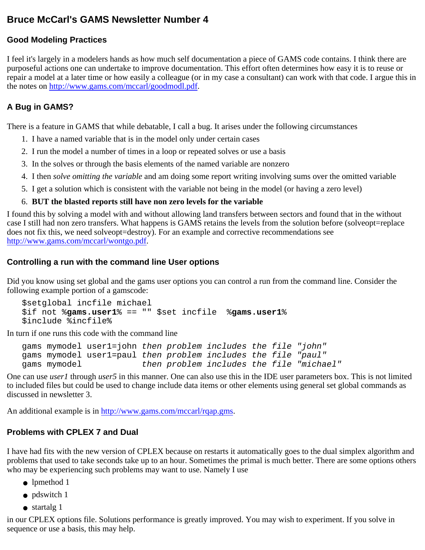# **Bruce McCarl's GAMS Newsletter Number 4**

## **Good Modeling Practices**

I feel it's largely in a modelers hands as how much self documentation a piece of GAMS code contains. I think there are purposeful actions one can undertake to improve documentation. This effort often determines how easy it is to reuse or repair a model at a later time or how easily a colleague (or in my case a consultant) can work with that code. I argue this in the notes on [http://www.gams.com/mccarl/goodmodl.pdf.](http://www.gams.com/mccarl/goodmodl.pdf)

# **A Bug in GAMS?**

There is a feature in GAMS that while debatable, I call a bug. It arises under the following circumstances

- 1. I have a named variable that is in the model only under certain cases
- 2. I run the model a number of times in a loop or repeated solves or use a basis
- 3. In the solves or through the basis elements of the named variable are nonzero
- 4. I then *solve omitting the variable* and am doing some report writing involving sums over the omitted variable
- 5. I get a solution which is consistent with the variable not being in the model (or having a zero level)

## 6. **BUT the blasted reports still have non zero levels for the variable**

I found this by solving a model with and without allowing land transfers between sectors and found that in the without case I still had non zero transfers. What happens is GAMS retains the levels from the solution before (solveopt=replace does not fix this, we need solveopt=destroy). For an example and corrective recommendations see [http://www.gams.com/mccarl/wontgo.pdf.](http://www.gams.com/mccarl/wontgo.pdf)

## **Controlling a run with the command line User options**

Did you know using set global and the gams user options you can control a run from the command line. Consider the following example portion of a gamscode:

```
 $setglobal incfile michael
$if not %gams.user1% == "" $set incfile %gams.user1%
$include %incfile%
```
In turn if one runs this code with the command line

```
 gams mymodel user1=john then problem includes the file "john"
gams mymodel user1=paul then problem includes the file "paul"
gams mymodel then problem includes the file "michael"
```
One can use *user1* through *user5* in this manner. One can also use this in the IDE user parameters box. This is not limited to included files but could be used to change include data items or other elements using general set global commands as discussed in newsletter 3.

An additional example is in [http://www.gams.com/mccarl/rqap.gms.](http://www.gams.com/mccarl/rqap.gms)

## **Problems with CPLEX 7 and Dual**

I have had fits with the new version of CPLEX because on restarts it automatically goes to the dual simplex algorithm and problems that used to take seconds take up to an hour. Sometimes the primal is much better. There are some options others who may be experiencing such problems may want to use. Namely I use

- lpmethod 1
- pdswitch 1
- startalg 1

in our CPLEX options file. Solutions performance is greatly improved. You may wish to experiment. If you solve in sequence or use a basis, this may help.